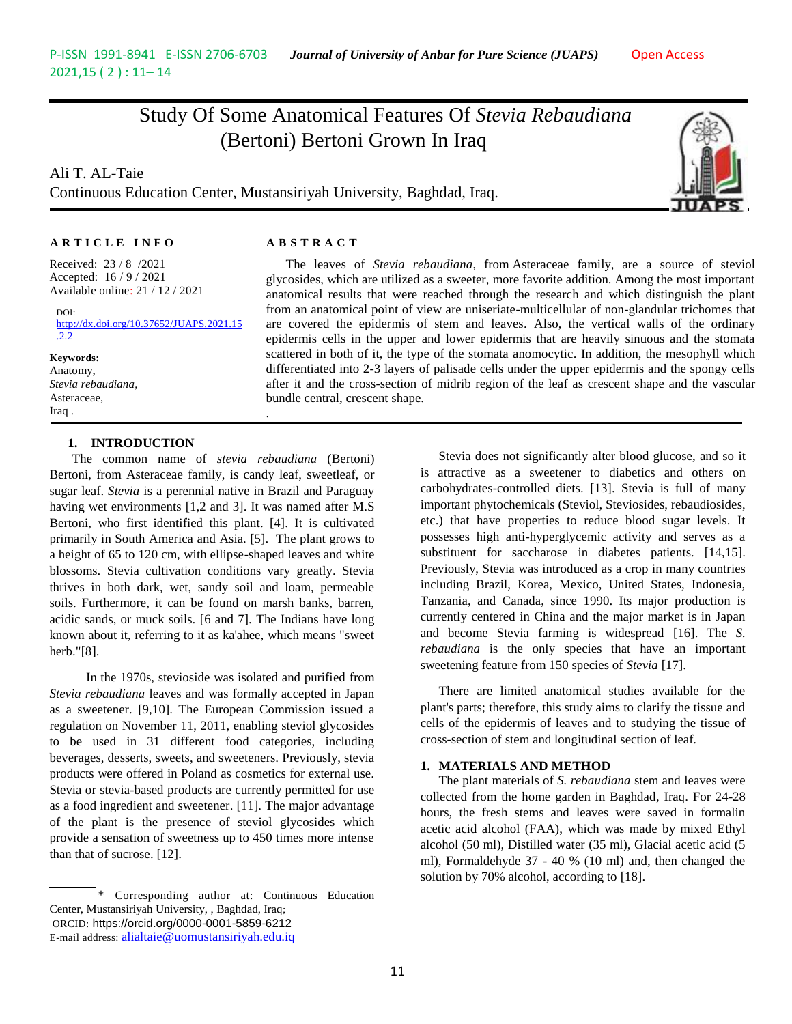# Study Of Some Anatomical Features Of *Stevia Rebaudiana* (Bertoni) Bertoni Grown In Iraq

Ali T. AL-Taie Continuous Education Center, Mustansiriyah University, Baghdad, Iraq.

.



### **A R T I C L E I N F O A B S T R A C T**

Received: 23 / 8 /2021 Accepted: 16 / 9 / 2021 Available online: 21 / 12 / 2021

DOI: [http://dx.doi.org/10.37652/JUAPS.2021.15](http://dx.doi.org/10.37652/JUAPS.2021.15.2.2) [.2.2](http://dx.doi.org/10.37652/JUAPS.2021.15.2.2)

**Keywords:** Anatomy, *Stevia rebaudiana*, Asteraceae, Iraq .

#### **1. INTRODUCTION**

 The common name of *stevia rebaudiana* (Bertoni) Bertoni, from Asteraceae family, is candy leaf, sweetleaf, or sugar leaf. *Stevia* is a perennial native in Brazil and Paraguay having wet environments [1,2 and 3]. It was named after M.S Bertoni, who first identified this plant. [4]. It is cultivated primarily in South America and Asia. [5]. The plant grows to a height of 65 to 120 cm, with ellipse-shaped leaves and white blossoms. Stevia cultivation conditions vary greatly. Stevia thrives in both dark, wet, sandy soil and loam, permeable soils. Furthermore, it can be found on marsh banks, barren, acidic sands, or muck soils. [6 and 7]. The Indians have long known about it, referring to it as ka'ahee, which means "sweet herb."[8].

In the 1970s, stevioside was isolated and purified from *Stevia rebaudiana* leaves and was formally accepted in Japan as a sweetener. [9,10]. The European Commission issued a regulation on November 11, 2011, enabling steviol glycosides to be used in 31 different food categories, including beverages, desserts, sweets, and sweeteners. Previously, stevia products were offered in Poland as cosmetics for external use. Stevia or stevia-based products are currently permitted for use as a food ingredient and sweetener. [11]. The major advantage of the plant is the presence of steviol glycosides which provide a sensation of sweetness up to 450 times more intense than that of sucrose. [12].

The leaves of *Stevia rebaudiana*, from Asteraceae family, are a source of steviol glycosides, which are utilized as a sweeter, more favorite addition. Among the most important anatomical results that were reached through the research and which distinguish the plant from an anatomical point of view are uniseriate-multicellular of non-glandular trichomes that are covered the epidermis of stem and leaves. Also, the vertical walls of the ordinary epidermis cells in the upper and lower epidermis that are heavily sinuous and the stomata scattered in both of it, the type of the stomata anomocytic. In addition, the mesophyll which differentiated into 2-3 layers of palisade cells under the upper epidermis and the spongy cells after it and the cross-section of midrib region of the leaf as crescent shape and the vascular bundle central, crescent shape.

> Stevia does not significantly alter blood glucose, and so it is attractive as a sweetener to diabetics and others on carbohydrates-controlled diets. [13]. Stevia is full of many important phytochemicals (Steviol, Steviosides, rebaudiosides, etc.) that have properties to reduce blood sugar levels. It possesses high anti-hyperglycemic activity and serves as a substituent for saccharose in diabetes patients. [14,15]. Previously, Stevia was introduced as a crop in many countries including Brazil, Korea, Mexico, United States, Indonesia, Tanzania, and Canada, since 1990. Its major production is currently centered in China and the major market is in Japan and become Stevia farming is widespread [16]. The *S. rebaudiana* is the only species that have an important sweetening feature from 150 species of *Stevia* [17].

> There are limited anatomical studies available for the plant's parts; therefore, this study aims to clarify the tissue and cells of the epidermis of leaves and to studying the tissue of cross-section of stem and longitudinal section of leaf.

#### **1. MATERIALS AND METHOD**

The plant materials of *S. rebaudiana* stem and leaves were collected from the home garden in Baghdad, Iraq. For 24-28 hours, the fresh stems and leaves were saved in formalin acetic acid alcohol (FAA), which was made by mixed Ethyl alcohol (50 ml), Distilled water (35 ml), Glacial acetic acid (5 ml), Formaldehyde 37 - 40 % (10 ml) and, then changed the solution by 70% alcohol, according to [18].

<sup>\*</sup> Corresponding author at: Continuous Education Center, Mustansiriyah University, , Baghdad, Iraq; ORCID: https://orcid.org/0000-0001-5859-6212 E-mail address: [alialtaie@uomustansiriyah.edu.iq](mailto:alialtaie@uomustansiriyah.edu.iq)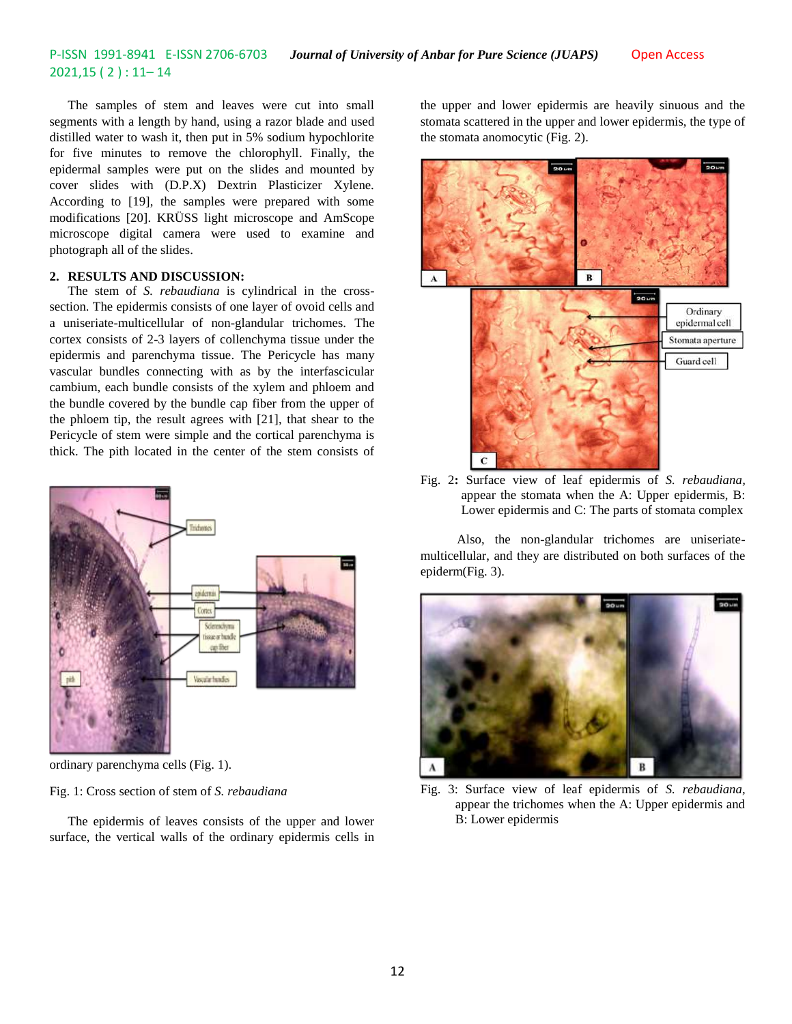The samples of stem and leaves were cut into small segments with a length by hand, using a razor blade and used distilled water to wash it, then put in 5% sodium hypochlorite for five minutes to remove the chlorophyll. Finally, the epidermal samples were put on the slides and mounted by cover slides with (D.P.X) Dextrin Plasticizer Xylene. According to [19], the samples were prepared with some modifications [20]. KRÜSS light microscope and AmScope microscope digital camera were used to examine and photograph all of the slides.

#### **2. RESULTS AND DISCUSSION:**

The stem of *S. rebaudiana* is cylindrical in the crosssection. The epidermis consists of one layer of ovoid cells and a uniseriate-multicellular of non-glandular trichomes. The cortex consists of 2-3 layers of collenchyma tissue under the epidermis and parenchyma tissue. The Pericycle has many vascular bundles connecting with as by the interfascicular cambium, each bundle consists of the xylem and phloem and the bundle covered by the bundle cap fiber from the upper of the phloem tip, the result agrees with [21], that shear to the Pericycle of stem were simple and the cortical parenchyma is thick. The pith located in the center of the stem consists of



ordinary parenchyma cells (Fig. 1).

Fig. 1: Cross section of stem of *S. rebaudiana*

The epidermis of leaves consists of the upper and lower surface, the vertical walls of the ordinary epidermis cells in

the upper and lower epidermis are heavily sinuous and the stomata scattered in the upper and lower epidermis, the type of the stomata anomocytic (Fig. 2).



Fig. 2**:** Surface view of leaf epidermis of *S. rebaudiana,*  appear the stomata when the A: Upper epidermis, B: Lower epidermis and C: The parts of stomata complex

Also, the non-glandular trichomes are uniseriatemulticellular, and they are distributed on both surfaces of the epiderm(Fig. 3).



Fig. 3: Surface view of leaf epidermis of *S. rebaudiana,*  appear the trichomes when the A: Upper epidermis and B: Lower epidermis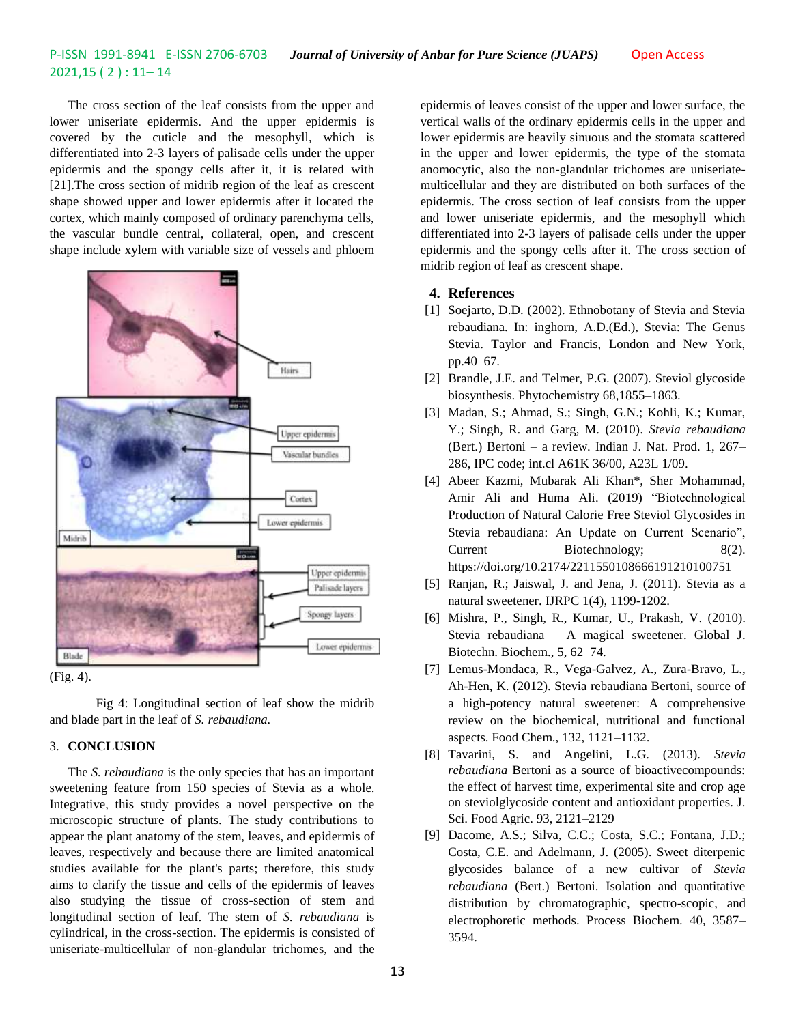The cross section of the leaf consists from the upper and lower uniseriate epidermis. And the upper epidermis is covered by the cuticle and the mesophyll, which is differentiated into 2-3 layers of palisade cells under the upper epidermis and the spongy cells after it, it is related with [21].The cross section of midrib region of the leaf as crescent shape showed upper and lower epidermis after it located the cortex, which mainly composed of ordinary parenchyma cells, the vascular bundle central, collateral, open, and crescent shape include xylem with variable size of vessels and phloem



(Fig. 4).

Fig 4: Longitudinal section of leaf show the midrib and blade part in the leaf of *S. rebaudiana.*

#### 3. **CONCLUSION**

The *S. rebaudiana* is the only species that has an important sweetening feature from 150 species of Stevia as a whole. Integrative, this study provides a novel perspective on the microscopic structure of plants. The study contributions to appear the plant anatomy of the stem, leaves, and epidermis of leaves, respectively and because there are limited anatomical studies available for the plant's parts; therefore, this study aims to clarify the tissue and cells of the epidermis of leaves also studying the tissue of cross-section of stem and longitudinal section of leaf. The stem of *S. rebaudiana* is cylindrical, in the cross-section. The epidermis is consisted of uniseriate-multicellular of non-glandular trichomes, and the

epidermis of leaves consist of the upper and lower surface, the vertical walls of the ordinary epidermis cells in the upper and lower epidermis are heavily sinuous and the stomata scattered in the upper and lower epidermis, the type of the stomata anomocytic, also the non-glandular trichomes are uniseriatemulticellular and they are distributed on both surfaces of the epidermis. The cross section of leaf consists from the upper and lower uniseriate epidermis, and the mesophyll which differentiated into 2-3 layers of palisade cells under the upper epidermis and the spongy cells after it. The cross section of midrib region of leaf as crescent shape.

#### **4. References**

- [1] Soejarto, D.D. (2002). Ethnobotany of Stevia and Stevia rebaudiana. In: inghorn, A.D.(Ed.), Stevia: The Genus Stevia. Taylor and Francis, London and New York, pp.40–67.
- [2] Brandle, J.E. and Telmer, P.G. (2007). Steviol glycoside biosynthesis. Phytochemistry 68,1855–1863.
- [3] Madan, S.; Ahmad, S.; Singh, G.N.; Kohli, K.; Kumar, Y.; Singh, R. and Garg, M. (2010). *Stevia rebaudiana* (Bert.) Bertoni – a review. Indian J. Nat. Prod. 1, 267– 286, IPC code; int.cl A61K 36/00, A23L 1/09.
- [4] Abeer Kazmi, Mubarak Ali Khan\*, Sher Mohammad, Amir Ali and Huma Ali. (2019) "Biotechnological Production of Natural Calorie Free Steviol Glycosides in Stevia rebaudiana: An Update on Current Scenario", Current Biotechnology; 8(2). https://doi.org/10.2174/2211550108666191210100751
- [5] Ranjan, R.; Jaiswal, J. and Jena, J. (2011). Stevia as a natural sweetener. IJRPC 1(4), 1199-1202.
- [6] Mishra, P., Singh, R., Kumar, U., Prakash, V. (2010). Stevia rebaudiana – A magical sweetener. Global J. Biotechn. Biochem., 5, 62–74.
- [7] Lemus-Mondaca, R., Vega-Galvez, A., Zura-Bravo, L., Ah-Hen, K. (2012). Stevia rebaudiana Bertoni, source of a high-potency natural sweetener: A comprehensive review on the biochemical, nutritional and functional aspects. Food Chem., 132, 1121–1132.
- [8] Tavarini, S. and Angelini, L.G. (2013). *Stevia rebaudiana* Bertoni as a source of bioactivecompounds: the effect of harvest time, experimental site and crop age on steviolglycoside content and antioxidant properties. J. Sci. Food Agric. 93, 2121–2129
- [9] Dacome, A.S.; Silva, C.C.; Costa, S.C.; Fontana, J.D.; Costa, C.E. and Adelmann, J. (2005). Sweet diterpenic glycosides balance of a new cultivar of *Stevia rebaudiana* (Bert.) Bertoni. Isolation and quantitative distribution by chromatographic, spectro-scopic, and electrophoretic methods. Process Biochem. 40, 3587– 3594.